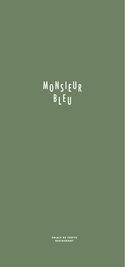# MONSIEUR BLEU

**PALAIS DE TOKYO<br>RESTAURANT**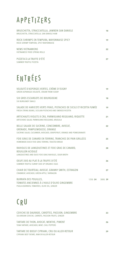#### APPETIZERS

| BRUSCHETTA, STRACCIATELLA, JAMBON SAN DANIELE<br>BRUSCHETTA, STRACCIATELLA, SAN DANIELE HAM | 18 |
|---------------------------------------------------------------------------------------------|----|
| ROCK SHRIMPS EN TEMPURA, MAYONNAISE SPICY<br>ROCK SHRIMP TEMPURA, SPICY MAYONNAISE          | 19 |
| NEMS VIETNAMIENS<br>VIETNAMESE FRIED SPRING ROLLS                                           | 22 |
| PIZZETA À LA TRUFFE D'ÉTÉ<br>SUMMER TRUFFLE PIZZETA                                         | 27 |

## ENTRÉES

| VELOUTÉ D'ASPERGES VERTES, CRÈME D'ISIGNY<br>GREEN ASPARAGUS VELOUTÉ, CREAM FROM ISIGNY                                                              |         | 19      |
|------------------------------------------------------------------------------------------------------------------------------------------------------|---------|---------|
| SIX GROS ESCARGOTS DE BOURGOGNE<br><b>SIX BURGUNDY SNAILS</b>                                                                                        |         | 18      |
| SALADE DE HARICOTS VERTS FRAIS, PISTACHES DE SICILE ET RICOTTA FUMÉE<br>FRESH STRING BEANS, SICILIAN PISTACHIO AND SMOKED RICOTTA                    |         | 19      |
| ARTICHAUTS VIOLETS À CRU, PARMIGIANO REGGIANO, RIQUETTE<br>ARTICHOKE SALAD, PARMIGIANO REGGIANO, ARUGULA                                             |         | 21      |
| BELLE SALADE DE SUCRINE, CONCOMBRE, AVOCAT,<br>GRENADE, PAMPLEMOUSSE, ORANGE<br>SUCRINE SALAD, CUCUMBER, AVOCADO, GRAPEFRUIT, ORANGE AND POMEGRANATE |         | 22      |
| FOIE GRAS DE CANARD EN TERRINE, TRANCHES DE PAIN GRILLÉES<br>HOMEMADE DUCK FOIE GRAS TERRINE, TOASTED BREAD                                          |         | 25      |
| RAVIOLES DE LANGOUSTINES ET FOIE GRAS DE CANARD.<br><b>BOUILLON ACIDULÉ</b><br>LANGOUSTINES AND DUCK FOIE GRAS RAVIOLES, SOUR BROTH                  |         | 28      |
| <b>OEUFS BIO AU PLAT À LA TRUFFE D'ÉTÉ</b><br>SUMMER TRUFFLE SUNNY SIDE UP ORGANIC EGGS                                                              |         | 26      |
| CHAIR DE TOURTEAU, AVOCAT, GRANNY SMITH, ESTRAGON<br>CRABMEAT, AVOCADO, GREEN APPLE, TARRAGON                                                        |         | 27      |
| <b>BURRATA DES POUILLES,</b><br>TOMATES ANCIENNES À L'HUILE D'OLIVE GINGEMBRE<br>PUGUA BURRATA, TOMATOES, OLIVE OIL, GINGER                          | 125G 24 | 300G 39 |

### CRU

| CEVICHE DE DAURADE, CAROTTES, PASSION, GINGEMBRE<br>SEA BREAM CEVICHE, CARROTS, PASSION FRUITS, GINGER | 23 |
|--------------------------------------------------------------------------------------------------------|----|
| TARTARE DE THON, AVOCAT, MENTHE, PIMENT<br>TUNA TARTARE, AVOCADO, MINT, CHILI PEPPERS                  | 26 |
| TARTARE DE BOEUF CIPRIANI, CRU OU ALLER-RETOUR<br>CIPRIANI BEEF TATARE, RAW OR ALLER-RETOUR            | 29 |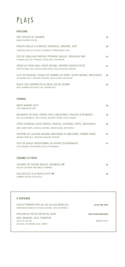#### PLATS

#### **POISSONS**

| <b>HOT CEVICHE DE SAUMON</b><br>WARM SALMON CEVICHE                                                                                   | 30 |
|---------------------------------------------------------------------------------------------------------------------------------------|----|
| POULPE GRILLÉ À LA BRAISE, HOUMOUS, GRENADE, SATÉ<br>CHARCOAL GRILLED OCTOPUS, HOUMOUS, POMEGRANATE, SATÉ                             | 38 |
| DOS DE CABILLAUD VAPEUR, PIPERADE, BASILIC, BOUILLON THAÏ<br>STEAMED COD FISH, PIPERADE, FRESH BASIL, THAÏ BROTH                      | 34 |
| TATAKI DE THON SAKU, PAVOT-SÉSAME, TARTARE D'AVOCAT ÉPICÉ<br>POPPY-SESAME SEED CRUSTED TUNA TATAKI, SPICED AVOCADO TARTARE            | 37 |
| FILET DE DAURADE, ÉCRASÉ DE POMMES DE TERRE, OLIVES NOIRES, ARTICHAUTS<br>SEA BREAM FILLET, CRUSHED POTATOES, BLACK OLIVES, ARTICHOKE | 39 |
| BLACK COD CARAMÉLISÉ AU MISO, RIZ AU JASMIN<br>MISO-CARAMELISED BLACK COD, JASMINE RICE                                               | 55 |
|                                                                                                                                       |    |
| <b>VIANDES</b>                                                                                                                        |    |
| <b>BŒUF MARINÉ SPICY</b><br><b>SPICY MARINATED BEEF</b>                                                                               | 38 |
| MILANAISE DE VEAU, CÂPRES FRITS, ANCHOÏADE, POUSSES D'ÉPINARDS<br>VEAL ALLA MILANESE, FRIED CAPERS, ANCHOVY CREAM, FRESH SPINACH      | 35 |
| CÔTES D'AGNEAU JUSTE DORÉES, HARISSA, SUCRINES, FÈVES, ARTICHAUTS<br>BABY LAMB CHOPS, HARISSA, SUCRINES, BROAD BEANS, ARTICHOKES      | 39 |
| POITRINE DE COCHON IBAIONA, MOUTARDE À L'ANCIENNE, POMME PURÉE<br>IBAIONA PORK BELLY, MUSTARD, MASHED PATATOES                        | 37 |
| FILET DE BOEUF TRADITIONNEL AU POIVRE OU BÉARNAISE<br>FILET MIGNON, PEPPERCORN SAUCE OR BEARNAISE                                     | 41 |
|                                                                                                                                       |    |
| <b>LÉGUMES ET PÂTES</b>                                                                                                               |    |
| LÉGUMES DE SAISON GRILLÉS, HOUMOUS (V)<br><b>GRILLED SEASONAL VEGETABLES, HUMMUS</b>                                                  | 26 |

TAGLIATELLES À LA TRUFFE D'ÉTÉ (V) SUMMER TRUFFLE TAGLIATELLE

A PARTAGER<br>
POULET FERMIER RÔTI AU JUS OU AUX MORILLES<br>
FARM RAISED ROASTED CHICKEN, NATURAL JUICE OR MORELS<br>
POISSON DE PÊCHE ENTIER DU JOUR<br>
BAR, DAURADE, SOLE, TURBOTIN<br>
CATCH OF THE DAY<br>
SEA BASS, SEA BREAM, SOLE, TURB 

39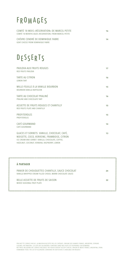#### **FROMAGES**

| COMTÉ 18 MOIS «RÉSERVATION» DE MARCEL PETITE<br>COMTÉ 18 MONTHS AGED «RESERVATION» FROM MARCEL PETITE | 16 |
|-------------------------------------------------------------------------------------------------------|----|
| CHÈVRE CENDRÉ DE DOMINIQUE FABRE<br><b>GOAT CHEESE FROM DOMINIQUE FABRE</b>                           | 14 |

#### DESSERTS

| À PARTAGER                                                                                                                                                                                      |    |
|-------------------------------------------------------------------------------------------------------------------------------------------------------------------------------------------------|----|
|                                                                                                                                                                                                 |    |
| GLACES ET SORBETS: VANILLE, CHOCOLAT, CAFÉ,<br>NOISETTE, COCO, VERVEINE, FRAMBOISE, CITRON<br>ICE CREAM AND SORBET: VANILLA, CHOCOLATE, COFFEE,<br>HAZELNUT, COCONUT, VERBENA, RASPBERRY, LEMON | 13 |
| CAFÉ GOURMAND<br>CAFÉ GOURMAND                                                                                                                                                                  | 14 |
| <b>PROFITEROLES</b><br>PROFITEROLES                                                                                                                                                             | 15 |
| ASSIFTTE DE FRUITS ROUGES ET CHANTILLY<br>RED FRUITS PLATE AND CHANTILLY                                                                                                                        | 15 |
| TARTE AU CHOCOLAT PRALINÉ<br>PRALINE AND CHOCOLATE TART                                                                                                                                         | 16 |
| MILLE-FEUILLE À LA VANILLE BOURBON<br><b>BOURBON VANILLA NAPOLEON</b>                                                                                                                           | 15 |
| <b>TARTE AU CITRON</b><br><b>LEMON TART</b>                                                                                                                                                     | 16 |
| PAVLOVA AUX FRUITS ROUGES<br><b>RED FRUITS PAVLOVA</b>                                                                                                                                          | 17 |

PANIER DE CHOUQUETTES CHANTILLY, SAUCE CHOCOLAT **24** VANILLA WHIPPED CREAM FILLED CHOUX, WARM CHOCOLATE SAUCE

BELLE ASSIETTE DE FRUITS DE SAISON **32**

MIXED SEASONAL FRUIT PLATE